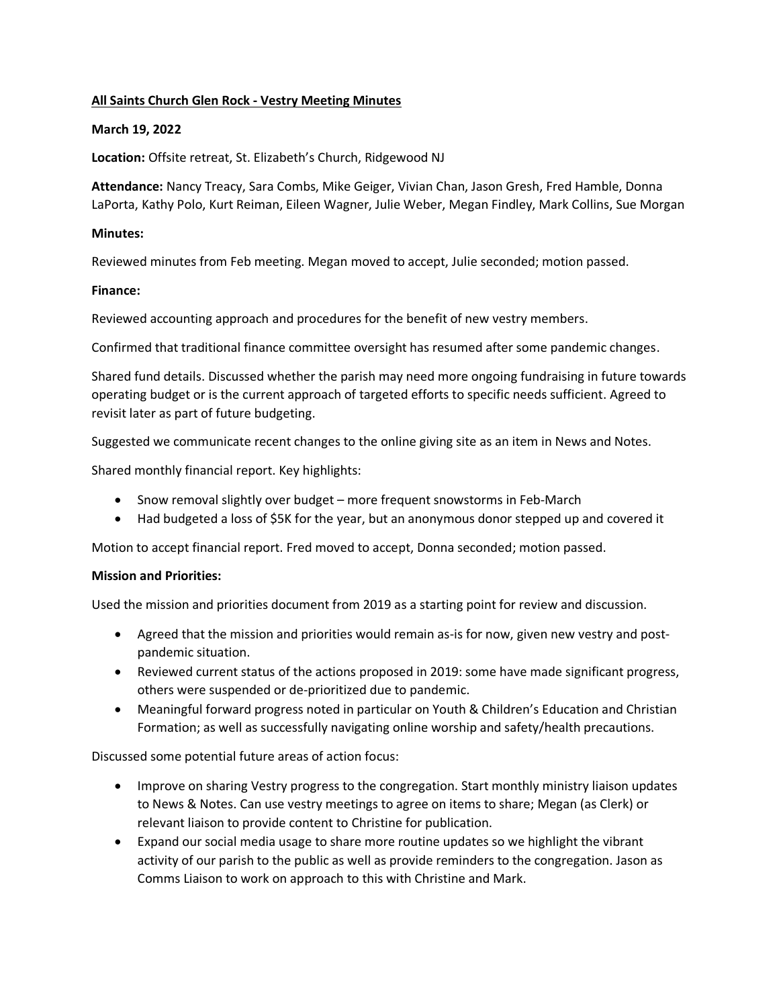## **All Saints Church Glen Rock - Vestry Meeting Minutes**

#### **March 19, 2022**

**Location:** Offsite retreat, St. Elizabeth's Church, Ridgewood NJ

**Attendance:** Nancy Treacy, Sara Combs, Mike Geiger, Vivian Chan, Jason Gresh, Fred Hamble, Donna LaPorta, Kathy Polo, Kurt Reiman, Eileen Wagner, Julie Weber, Megan Findley, Mark Collins, Sue Morgan

#### **Minutes:**

Reviewed minutes from Feb meeting. Megan moved to accept, Julie seconded; motion passed.

#### **Finance:**

Reviewed accounting approach and procedures for the benefit of new vestry members.

Confirmed that traditional finance committee oversight has resumed after some pandemic changes.

Shared fund details. Discussed whether the parish may need more ongoing fundraising in future towards operating budget or is the current approach of targeted efforts to specific needs sufficient. Agreed to revisit later as part of future budgeting.

Suggested we communicate recent changes to the online giving site as an item in News and Notes.

Shared monthly financial report. Key highlights:

- Snow removal slightly over budget more frequent snowstorms in Feb-March
- Had budgeted a loss of \$5K for the year, but an anonymous donor stepped up and covered it

Motion to accept financial report. Fred moved to accept, Donna seconded; motion passed.

# **Mission and Priorities:**

Used the mission and priorities document from 2019 as a starting point for review and discussion.

- Agreed that the mission and priorities would remain as-is for now, given new vestry and postpandemic situation.
- Reviewed current status of the actions proposed in 2019: some have made significant progress, others were suspended or de-prioritized due to pandemic.
- Meaningful forward progress noted in particular on Youth & Children's Education and Christian Formation; as well as successfully navigating online worship and safety/health precautions.

Discussed some potential future areas of action focus:

- Improve on sharing Vestry progress to the congregation. Start monthly ministry liaison updates to News & Notes. Can use vestry meetings to agree on items to share; Megan (as Clerk) or relevant liaison to provide content to Christine for publication.
- Expand our social media usage to share more routine updates so we highlight the vibrant activity of our parish to the public as well as provide reminders to the congregation. Jason as Comms Liaison to work on approach to this with Christine and Mark.